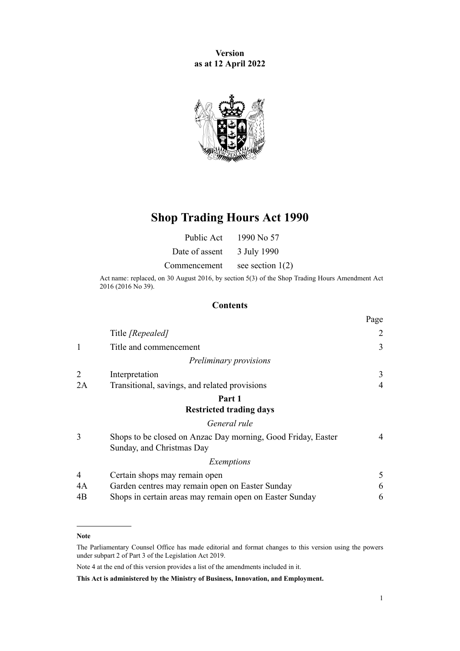**Version as at 12 April 2022**



# **Shop Trading Hours Act 1990**

Date of assent 3 July 1990

Commencement see section  $1(2)$ 

Act name: replaced, on 30 August 2016, by [section 5\(3\)](http://legislation.govt.nz/pdflink.aspx?id=DLM6632714) of the Shop Trading Hours Amendment Act 2016 (2016 No 39).

#### **Contents**

|                |                                                                                           | Page |
|----------------|-------------------------------------------------------------------------------------------|------|
|                | Title [Repealed]                                                                          | 2    |
| $\mathbf 1$    | Title and commencement                                                                    | 3    |
|                | Preliminary provisions                                                                    |      |
| 2              | Interpretation                                                                            | 3    |
| 2A             | Transitional, savings, and related provisions                                             | 4    |
|                | Part 1                                                                                    |      |
|                | <b>Restricted trading days</b>                                                            |      |
|                | General rule                                                                              |      |
| 3              | Shops to be closed on Anzac Day morning, Good Friday, Easter<br>Sunday, and Christmas Day | 4    |
|                | Exemptions                                                                                |      |
| $\overline{4}$ | Certain shops may remain open                                                             | 5    |
| 4A             | Garden centres may remain open on Easter Sunday                                           | 6    |
| 4B             | Shops in certain areas may remain open on Easter Sunday                                   | 6    |

#### **Note**

The Parliamentary Counsel Office has made editorial and format changes to this version using the powers under [subpart 2](http://legislation.govt.nz/pdflink.aspx?id=DLM7298371) of Part 3 of the Legislation Act 2019.

Note 4 at the end of this version provides a list of the amendments included in it.

**This Act is administered by the Ministry of Business, Innovation, and Employment.**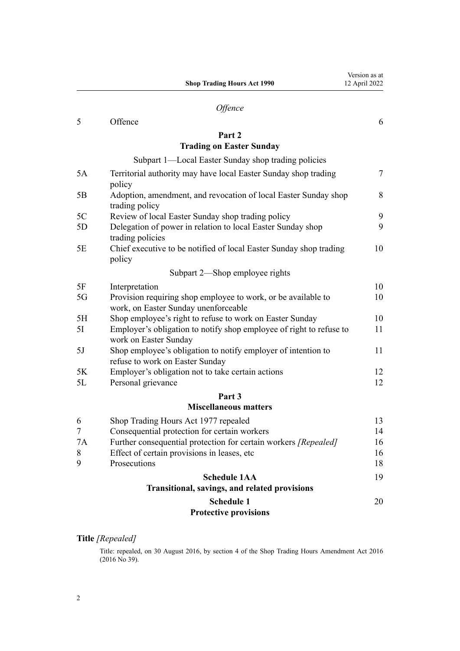|           | Part 2                                                                                                |        |
|-----------|-------------------------------------------------------------------------------------------------------|--------|
|           | <b>Trading on Easter Sunday</b>                                                                       |        |
|           | Subpart 1—Local Easter Sunday shop trading policies                                                   |        |
| 5A        | Territorial authority may have local Easter Sunday shop trading<br>policy                             | $\tau$ |
| 5B        | Adoption, amendment, and revocation of local Easter Sunday shop<br>trading policy                     | 8      |
| 5C        | Review of local Easter Sunday shop trading policy                                                     | 9      |
| 5D        | Delegation of power in relation to local Easter Sunday shop<br>trading policies                       | 9      |
| 5E        | Chief executive to be notified of local Easter Sunday shop trading<br>policy                          | 10     |
|           | Subpart 2-Shop employee rights                                                                        |        |
| 5F        | Interpretation                                                                                        | 10     |
| 5G        | Provision requiring shop employee to work, or be available to<br>work, on Easter Sunday unenforceable | 10     |
| 5H        | Shop employee's right to refuse to work on Easter Sunday                                              | 10     |
| 5I        | Employer's obligation to notify shop employee of right to refuse to<br>work on Easter Sunday          | 11     |
| 5J        | Shop employee's obligation to notify employer of intention to<br>refuse to work on Easter Sunday      | 11     |
| 5K        | Employer's obligation not to take certain actions                                                     | 12     |
| 5L        | Personal grievance                                                                                    | 12     |
|           | Part 3                                                                                                |        |
|           | <b>Miscellaneous matters</b>                                                                          |        |
| 6         | Shop Trading Hours Act 1977 repealed                                                                  | 13     |
| $\tau$    | Consequential protection for certain workers                                                          | 14     |
| <b>7A</b> | Further consequential protection for certain workers [Repealed]                                       | 16     |
| 8         | Effect of certain provisions in leases, etc                                                           | 16     |
| 9         | Prosecutions                                                                                          | 18     |
|           | <b>Schedule 1AA</b>                                                                                   | 19     |

<span id="page-1-0"></span>*[Offence](#page-5-0)* [5](#page-5-0) [Offence](#page-5-0) [6](#page-5-0)

**Shop Trading Hours Act 1990**

## **[Transitional, savings, and related provisions](#page-18-0) [Schedule 1](#page-19-0)**

[20](#page-19-0)

Version as at 12 April 2022

#### **[Protective provisions](#page-19-0)**

#### **Title** *[Repealed]*

Title: repealed, on 30 August 2016, by [section 4](http://legislation.govt.nz/pdflink.aspx?id=DLM6632713) of the Shop Trading Hours Amendment Act 2016 (2016 No 39).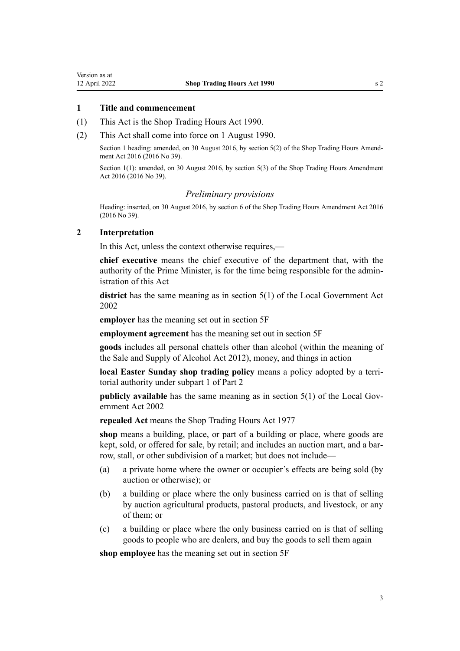#### <span id="page-2-0"></span>**1 Title and commencement**

- (1) This Act is the Shop Trading Hours Act 1990.
- (2) This Act shall come into force on 1 August 1990.

Section 1 heading: amended, on 30 August 2016, by [section 5\(2\)](http://legislation.govt.nz/pdflink.aspx?id=DLM6632714) of the Shop Trading Hours Amendment Act 2016 (2016 No 39).

Section 1(1): amended, on 30 August 2016, by [section 5\(3\)](http://legislation.govt.nz/pdflink.aspx?id=DLM6632714) of the Shop Trading Hours Amendment Act 2016 (2016 No 39).

#### *Preliminary provisions*

Heading: inserted, on 30 August 2016, by [section 6](http://legislation.govt.nz/pdflink.aspx?id=DLM6632715) of the Shop Trading Hours Amendment Act 2016 (2016 No 39).

#### **2 Interpretation**

In this Act, unless the context otherwise requires,—

**chief executive** means the chief executive of the department that, with the authority of the Prime Minister, is for the time being responsible for the admin‐ istration of this Act

**district** has the same meaning as in [section 5\(1\)](http://legislation.govt.nz/pdflink.aspx?id=DLM170881) of the Local Government Act 2002

**employer** has the meaning set out in [section 5F](#page-9-0)

**employment agreement** has the meaning set out in [section 5F](#page-9-0)

**goods** includes all personal chattels other than alcohol (within the meaning of the [Sale and Supply of Alcohol Act 2012\)](http://legislation.govt.nz/pdflink.aspx?id=DLM3339302), money, and things in action

**local Easter Sunday shop trading policy** means a policy adopted by a territorial authority under [subpart 1](#page-6-0) of Part 2

**publicly available** has the same meaning as in [section 5\(1\)](http://legislation.govt.nz/pdflink.aspx?id=DLM170881) of the Local Government Act 2002

**repealed Act** means the Shop Trading Hours Act 1977

**shop** means a building, place, or part of a building or place, where goods are kept, sold, or offered for sale, by retail; and includes an auction mart, and a barrow, stall, or other subdivision of a market; but does not include—

- (a) a private home where the owner or occupier's effects are being sold (by auction or otherwise); or
- (b) a building or place where the only business carried on is that of selling by auction agricultural products, pastoral products, and livestock, or any of them; or
- (c) a building or place where the only business carried on is that of selling goods to people who are dealers, and buy the goods to sell them again

**shop employee** has the meaning set out in [section 5F](#page-9-0)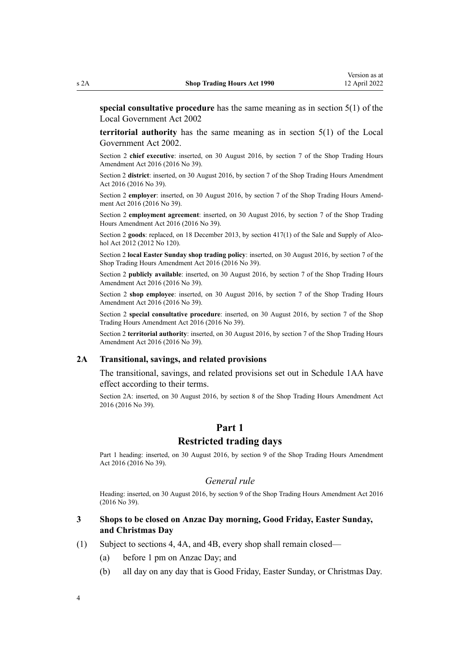<span id="page-3-0"></span>**special consultative procedure** has the same meaning as in [section 5\(1\)](http://legislation.govt.nz/pdflink.aspx?id=DLM170881) of the Local Government Act 2002

**territorial authority** has the same meaning as in [section 5\(1\)](http://legislation.govt.nz/pdflink.aspx?id=DLM170881) of the Local Government Act 2002.

Section 2 **chief executive**: inserted, on 30 August 2016, by [section 7](http://legislation.govt.nz/pdflink.aspx?id=DLM6632717) of the Shop Trading Hours Amendment Act 2016 (2016 No 39).

Section 2 **district**: inserted, on 30 August 2016, by [section 7](http://legislation.govt.nz/pdflink.aspx?id=DLM6632717) of the Shop Trading Hours Amendment Act 2016 (2016 No 39).

Section 2 **employer**: inserted, on 30 August 2016, by [section 7](http://legislation.govt.nz/pdflink.aspx?id=DLM6632717) of the Shop Trading Hours Amendment Act 2016 (2016 No 39).

Section 2 **employment agreement**: inserted, on 30 August 2016, by [section 7](http://legislation.govt.nz/pdflink.aspx?id=DLM6632717) of the Shop Trading Hours Amendment Act 2016 (2016 No 39).

Section 2 goods: replaced, on 18 December 2013, by [section 417\(1\)](http://legislation.govt.nz/pdflink.aspx?id=DLM3339984) of the Sale and Supply of Alcohol Act 2012 (2012 No 120).

Section 2 **local Easter Sunday shop trading policy**: inserted, on 30 August 2016, by [section 7](http://legislation.govt.nz/pdflink.aspx?id=DLM6632717) of the Shop Trading Hours Amendment Act 2016 (2016 No 39).

Section 2 **publicly available**: inserted, on 30 August 2016, by [section 7](http://legislation.govt.nz/pdflink.aspx?id=DLM6632717) of the Shop Trading Hours Amendment Act 2016 (2016 No 39).

Section 2 **shop employee**: inserted, on 30 August 2016, by [section 7](http://legislation.govt.nz/pdflink.aspx?id=DLM6632717) of the Shop Trading Hours Amendment Act 2016 (2016 No 39).

Section 2 **special consultative procedure**: inserted, on 30 August 2016, by [section 7](http://legislation.govt.nz/pdflink.aspx?id=DLM6632717) of the Shop Trading Hours Amendment Act 2016 (2016 No 39).

Section 2 **territorial authority**: inserted, on 30 August 2016, by [section 7](http://legislation.govt.nz/pdflink.aspx?id=DLM6632717) of the Shop Trading Hours Amendment Act 2016 (2016 No 39).

#### **2A Transitional, savings, and related provisions**

The transitional, savings, and related provisions set out in [Schedule 1AA](#page-18-0) have effect according to their terms.

Section 2A: inserted, on 30 August 2016, by [section 8](http://legislation.govt.nz/pdflink.aspx?id=DLM6632730) of the Shop Trading Hours Amendment Act 2016 (2016 No 39).

## **Part 1**

#### **Restricted trading days**

Part 1 heading: inserted, on 30 August 2016, by [section 9](http://legislation.govt.nz/pdflink.aspx?id=DLM6632732) of the Shop Trading Hours Amendment Act 2016 (2016 No 39).

#### *General rule*

Heading: inserted, on 30 August 2016, by [section 9](http://legislation.govt.nz/pdflink.aspx?id=DLM6632732) of the Shop Trading Hours Amendment Act 2016 (2016 No 39).

#### **3 Shops to be closed on Anzac Day morning, Good Friday, Easter Sunday, and Christmas Day**

- (1) Subject to [sections 4](#page-4-0), [4A,](#page-5-0) and [4B,](#page-5-0) every shop shall remain closed—
	- (a) before 1 pm on Anzac Day; and
	- (b) all day on any day that is Good Friday, Easter Sunday, or Christmas Day.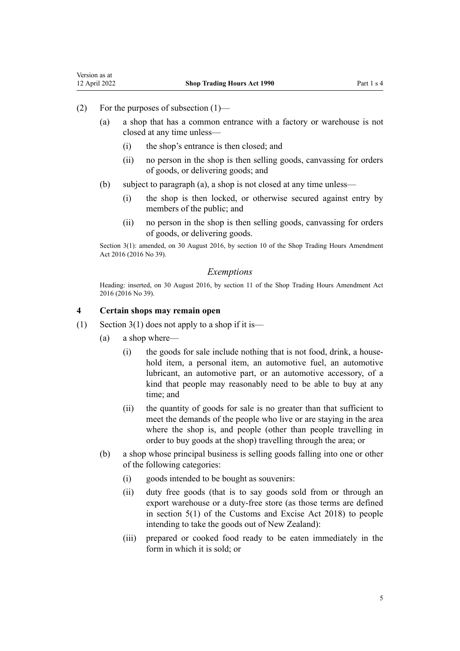- <span id="page-4-0"></span>(2) For the purposes of subsection (1)—
	- (a) a shop that has a common entrance with a factory or warehouse is not closed at any time unless—
		- (i) the shop's entrance is then closed; and
		- (ii) no person in the shop is then selling goods, canvassing for orders of goods, or delivering goods; and
	- (b) subject to paragraph (a), a shop is not closed at any time unless—
		- (i) the shop is then locked, or otherwise secured against entry by members of the public; and
		- (ii) no person in the shop is then selling goods, canvassing for orders of goods, or delivering goods.

Section 3(1): amended, on 30 August 2016, by [section 10](http://legislation.govt.nz/pdflink.aspx?id=DLM6632735) of the Shop Trading Hours Amendment Act 2016 (2016 No 39).

#### *Exemptions*

Heading: inserted, on 30 August 2016, by [section 11](http://legislation.govt.nz/pdflink.aspx?id=DLM6632736) of the Shop Trading Hours Amendment Act 2016 (2016 No 39).

#### **4 Certain shops may remain open**

- (1) [Section 3\(1\)](#page-3-0) does not apply to a shop if it is—
	- (a) a shop where—
		- $(i)$  the goods for sale include nothing that is not food, drink, a household item, a personal item, an automotive fuel, an automotive lubricant, an automotive part, or an automotive accessory, of a kind that people may reasonably need to be able to buy at any time; and
		- (ii) the quantity of goods for sale is no greater than that sufficient to meet the demands of the people who live or are staying in the area where the shop is, and people (other than people travelling in order to buy goods at the shop) travelling through the area; or
	- (b) a shop whose principal business is selling goods falling into one or other of the following categories:
		- (i) goods intended to be bought as souvenirs:
		- (ii) duty free goods (that is to say goods sold from or through an export warehouse or a duty-free store (as those terms are defined in [section 5\(1\)](http://legislation.govt.nz/pdflink.aspx?id=DLM7038971) of the Customs and Excise Act 2018) to people intending to take the goods out of New Zealand):
		- (iii) prepared or cooked food ready to be eaten immediately in the form in which it is sold; or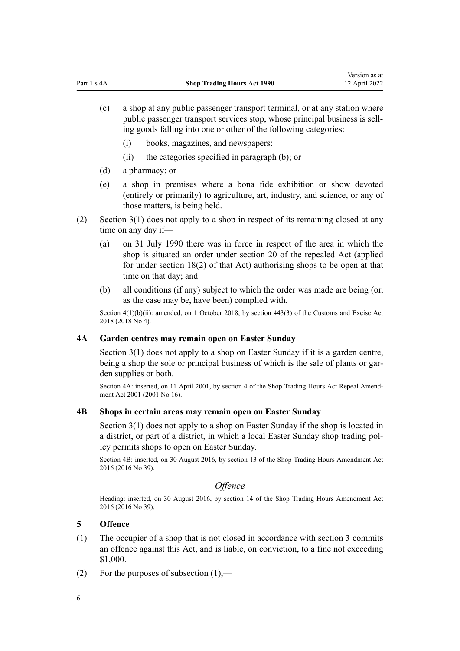- <span id="page-5-0"></span>(c) a shop at any public passenger transport terminal, or at any station where public passenger transport services stop, whose principal business is sell‐ ing goods falling into one or other of the following categories:
	- (i) books, magazines, and newspapers:
	- (ii) the categories specified in paragraph (b); or
- (d) a pharmacy; or
- (e) a shop in premises where a bona fide exhibition or show devoted (entirely or primarily) to agriculture, art, industry, and science, or any of those matters, is being held.
- (2) [Section 3\(1\)](#page-3-0) does not apply to a shop in respect of its remaining closed at any time on any day if—
	- (a) on 31 July 1990 there was in force in respect of the area in which the shop is situated an order under section 20 of the repealed Act (applied for under section 18(2) of that Act) authorising shops to be open at that time on that day; and
	- (b) all conditions (if any) subject to which the order was made are being (or, as the case may be, have been) complied with.

Section  $4(1)(b)(ii)$ : amended, on 1 October 2018, by [section 443\(3\)](http://legislation.govt.nz/pdflink.aspx?id=DLM7039957) of the Customs and Excise Act 2018 (2018 No 4).

#### **4A Garden centres may remain open on Easter Sunday**

[Section 3\(1\)](#page-3-0) does not apply to a shop on Easter Sunday if it is a garden centre, being a shop the sole or principal business of which is the sale of plants or garden supplies or both.

Section 4A: inserted, on 11 April 2001, by [section 4](http://legislation.govt.nz/pdflink.aspx?id=DLM90159) of the Shop Trading Hours Act Repeal Amendment Act 2001 (2001 No 16).

#### **4B Shops in certain areas may remain open on Easter Sunday**

[Section 3\(1\)](#page-3-0) does not apply to a shop on Easter Sunday if the shop is located in a district, or part of a district, in which a local Easter Sunday shop trading pol‐ icy permits shops to open on Easter Sunday.

Section 4B: inserted, on 30 August 2016, by [section 13](http://legislation.govt.nz/pdflink.aspx?id=DLM6632739) of the Shop Trading Hours Amendment Act 2016 (2016 No 39).

#### *Offence*

Heading: inserted, on 30 August 2016, by [section 14](http://legislation.govt.nz/pdflink.aspx?id=DLM6632741) of the Shop Trading Hours Amendment Act 2016 (2016 No 39).

#### **5 Offence**

- (1) The occupier of a shop that is not closed in accordance with [section 3](#page-3-0) commits an offence against this Act, and is liable, on conviction, to a fine not exceeding \$1,000.
- (2) For the purposes of subsection  $(1)$ ,—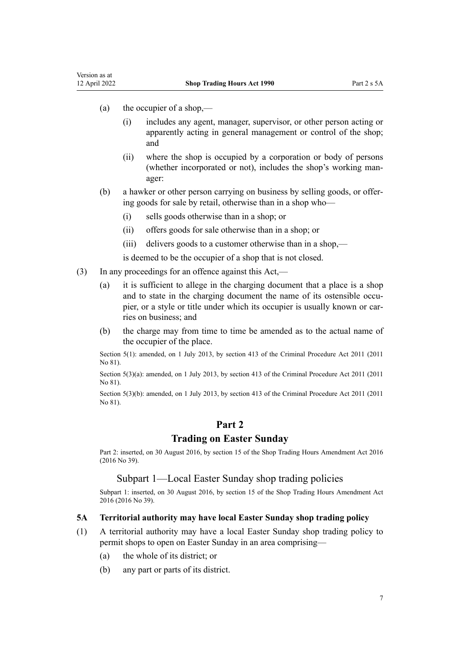<span id="page-6-0"></span>Version as at<br>12 April 2022

- (a) the occupier of a shop,—
	- (i) includes any agent, manager, supervisor, or other person acting or apparently acting in general management or control of the shop; and
	- (ii) where the shop is occupied by a corporation or body of persons (whether incorporated or not), includes the shop's working man‐ ager:
- (b) a hawker or other person carrying on business by selling goods, or offer‐ ing goods for sale by retail, otherwise than in a shop who—
	- (i) sells goods otherwise than in a shop; or
	- (ii) offers goods for sale otherwise than in a shop; or
	- (iii) delivers goods to a customer otherwise than in a shop,—

is deemed to be the occupier of a shop that is not closed.

- (3) In any proceedings for an offence against this Act,—
	- (a) it is sufficient to allege in the charging document that a place is a shop and to state in the charging document the name of its ostensible occupier, or a style or title under which its occupier is usually known or carries on business; and
	- (b) the charge may from time to time be amended as to the actual name of the occupier of the place.

Section 5(1): amended, on 1 July 2013, by [section 413](http://legislation.govt.nz/pdflink.aspx?id=DLM3360714) of the Criminal Procedure Act 2011 (2011) No 81).

Section 5(3)(a): amended, on 1 July 2013, by [section 413](http://legislation.govt.nz/pdflink.aspx?id=DLM3360714) of the Criminal Procedure Act 2011 (2011 No 81).

Section 5(3)(b): amended, on 1 July 2013, by [section 413](http://legislation.govt.nz/pdflink.aspx?id=DLM3360714) of the Criminal Procedure Act 2011 (2011) No 81).

## **Part 2**

## **Trading on Easter Sunday**

Part 2: inserted, on 30 August 2016, by [section 15](http://legislation.govt.nz/pdflink.aspx?id=DLM6632743) of the Shop Trading Hours Amendment Act 2016 (2016 No 39).

Subpart 1—Local Easter Sunday shop trading policies

Subpart 1: inserted, on 30 August 2016, by [section 15](http://legislation.govt.nz/pdflink.aspx?id=DLM6632743) of the Shop Trading Hours Amendment Act 2016 (2016 No 39).

#### **5A Territorial authority may have local Easter Sunday shop trading policy**

- (1) A territorial authority may have a local Easter Sunday shop trading policy to permit shops to open on Easter Sunday in an area comprising—
	- (a) the whole of its district; or
	- (b) any part or parts of its district.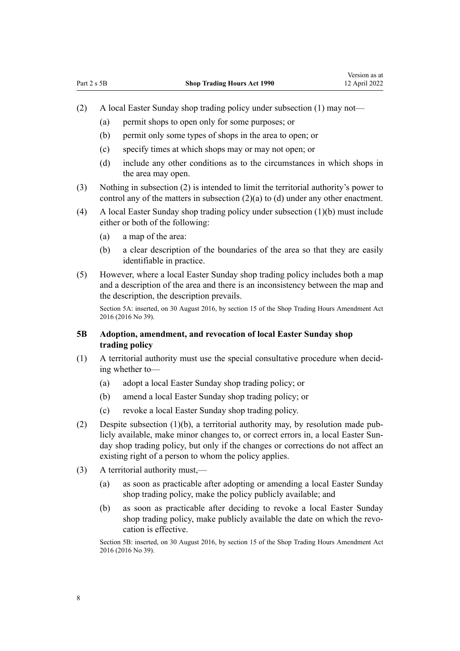- <span id="page-7-0"></span>(2) A local Easter Sunday shop trading policy under subsection (1) may not—
	- (a) permit shops to open only for some purposes; or
	- (b) permit only some types of shops in the area to open; or
	- (c) specify times at which shops may or may not open; or
	- (d) include any other conditions as to the circumstances in which shops in the area may open.
- (3) Nothing in subsection (2) is intended to limit the territorial authority's power to control any of the matters in subsection (2)(a) to (d) under any other enactment.
- (4) A local Easter Sunday shop trading policy under subsection (1)(b) must include either or both of the following:
	- (a) a map of the area:
	- (b) a clear description of the boundaries of the area so that they are easily identifiable in practice.
- (5) However, where a local Easter Sunday shop trading policy includes both a map and a description of the area and there is an inconsistency between the map and the description, the description prevails.

Section 5A: inserted, on 30 August 2016, by [section 15](http://legislation.govt.nz/pdflink.aspx?id=DLM6632743) of the Shop Trading Hours Amendment Act 2016 (2016 No 39).

## **5B Adoption, amendment, and revocation of local Easter Sunday shop trading policy**

- $(1)$  A territorial authority must use the special consultative procedure when deciding whether to—
	- (a) adopt a local Easter Sunday shop trading policy; or
	- (b) amend a local Easter Sunday shop trading policy; or
	- (c) revoke a local Easter Sunday shop trading policy.
- (2) Despite subsection (1)(b), a territorial authority may, by resolution made pub‐ licly available, make minor changes to, or correct errors in, a local Easter Sunday shop trading policy, but only if the changes or corrections do not affect an existing right of a person to whom the policy applies.
- (3) A territorial authority must,—
	- (a) as soon as practicable after adopting or amending a local Easter Sunday shop trading policy, make the policy publicly available; and
	- (b) as soon as practicable after deciding to revoke a local Easter Sunday shop trading policy, make publicly available the date on which the revocation is effective.

Section 5B: inserted, on 30 August 2016, by [section 15](http://legislation.govt.nz/pdflink.aspx?id=DLM6632743) of the Shop Trading Hours Amendment Act 2016 (2016 No 39).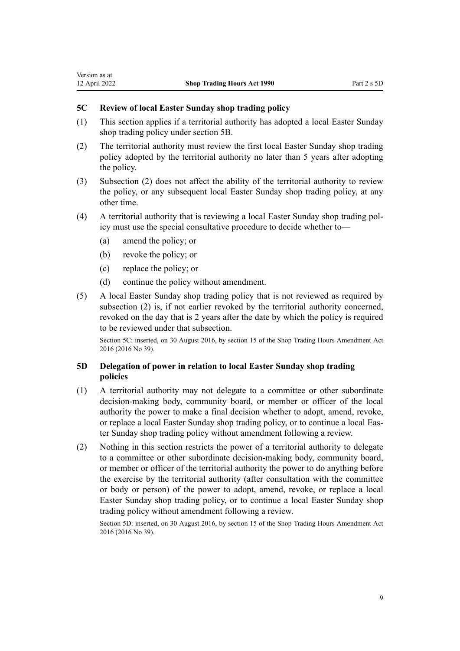- (1) This section applies if a territorial authority has adopted a local Easter Sunday shop trading policy under [section 5B.](#page-7-0)
- (2) The territorial authority must review the first local Easter Sunday shop trading policy adopted by the territorial authority no later than 5 years after adopting the policy.
- (3) Subsection (2) does not affect the ability of the territorial authority to review the policy, or any subsequent local Easter Sunday shop trading policy, at any other time.
- (4) A territorial authority that is reviewing a local Easter Sunday shop trading pol‐ icy must use the special consultative procedure to decide whether to—
	- (a) amend the policy; or

<span id="page-8-0"></span>Version as at<br>12 April 2022

- (b) revoke the policy; or
- (c) replace the policy; or
- (d) continue the policy without amendment.
- (5) A local Easter Sunday shop trading policy that is not reviewed as required by subsection (2) is, if not earlier revoked by the territorial authority concerned, revoked on the day that is 2 years after the date by which the policy is required to be reviewed under that subsection.

Section 5C: inserted, on 30 August 2016, by [section 15](http://legislation.govt.nz/pdflink.aspx?id=DLM6632743) of the Shop Trading Hours Amendment Act 2016 (2016 No 39).

#### **5D Delegation of power in relation to local Easter Sunday shop trading policies**

- (1) A territorial authority may not delegate to a committee or other subordinate decision-making body, community board, or member or officer of the local authority the power to make a final decision whether to adopt, amend, revoke, or replace a local Easter Sunday shop trading policy, or to continue a local Eas‐ ter Sunday shop trading policy without amendment following a review.
- (2) Nothing in this section restricts the power of a territorial authority to delegate to a committee or other subordinate decision-making body, community board, or member or officer of the territorial authority the power to do anything before the exercise by the territorial authority (after consultation with the committee or body or person) of the power to adopt, amend, revoke, or replace a local Easter Sunday shop trading policy, or to continue a local Easter Sunday shop trading policy without amendment following a review.

Section 5D: inserted, on 30 August 2016, by [section 15](http://legislation.govt.nz/pdflink.aspx?id=DLM6632743) of the Shop Trading Hours Amendment Act 2016 (2016 No 39).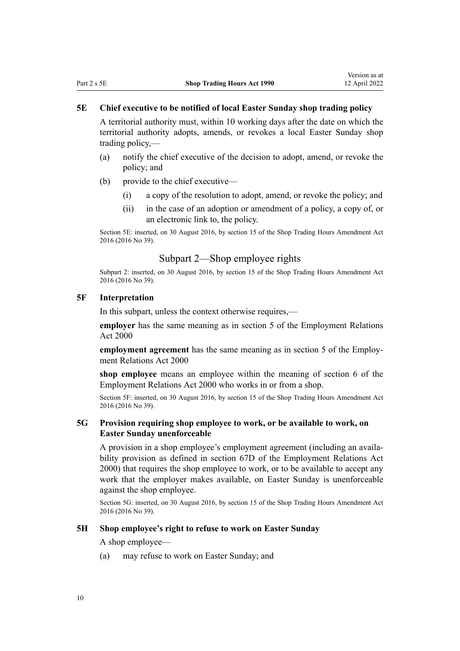#### <span id="page-9-0"></span>**5E Chief executive to be notified of local Easter Sunday shop trading policy**

A territorial authority must, within 10 working days after the date on which the territorial authority adopts, amends, or revokes a local Easter Sunday shop trading policy,—

- (a) notify the chief executive of the decision to adopt, amend, or revoke the policy; and
- (b) provide to the chief executive—
	- (i) a copy of the resolution to adopt, amend, or revoke the policy; and
	- (ii) in the case of an adoption or amendment of a policy, a copy of, or an electronic link to, the policy.

Section 5E: inserted, on 30 August 2016, by [section 15](http://legislation.govt.nz/pdflink.aspx?id=DLM6632743) of the Shop Trading Hours Amendment Act 2016 (2016 No 39).

#### Subpart 2—Shop employee rights

Subpart 2: inserted, on 30 August 2016, by [section 15](http://legislation.govt.nz/pdflink.aspx?id=DLM6632743) of the Shop Trading Hours Amendment Act 2016 (2016 No 39).

#### **5F Interpretation**

In this subpart, unless the context otherwise requires,—

**employer** has the same meaning as in [section 5](http://legislation.govt.nz/pdflink.aspx?id=DLM58337) of the Employment Relations Act 2000

**employment agreement** has the same meaning as in [section 5](http://legislation.govt.nz/pdflink.aspx?id=DLM58337) of the Employment Relations Act 2000

**shop employee** means an employee within the meaning of [section 6](http://legislation.govt.nz/pdflink.aspx?id=DLM58619) of the Employment Relations Act 2000 who works in or from a shop.

Section 5F: inserted, on 30 August 2016, by [section 15](http://legislation.govt.nz/pdflink.aspx?id=DLM6632743) of the Shop Trading Hours Amendment Act 2016 (2016 No 39).

#### **5G Provision requiring shop employee to work, or be available to work, on Easter Sunday unenforceable**

A provision in a shop employee's employment agreement (including an availa‐ bility provision as defined in [section 67D](http://legislation.govt.nz/pdflink.aspx?id=DLM6803002) of the Employment Relations Act 2000) that requires the shop employee to work, or to be available to accept any work that the employer makes available, on Easter Sunday is unenforceable against the shop employee.

Section 5G: inserted, on 30 August 2016, by [section 15](http://legislation.govt.nz/pdflink.aspx?id=DLM6632743) of the Shop Trading Hours Amendment Act 2016 (2016 No 39).

#### **5H Shop employee's right to refuse to work on Easter Sunday**

#### A shop employee—

(a) may refuse to work on Easter Sunday; and

10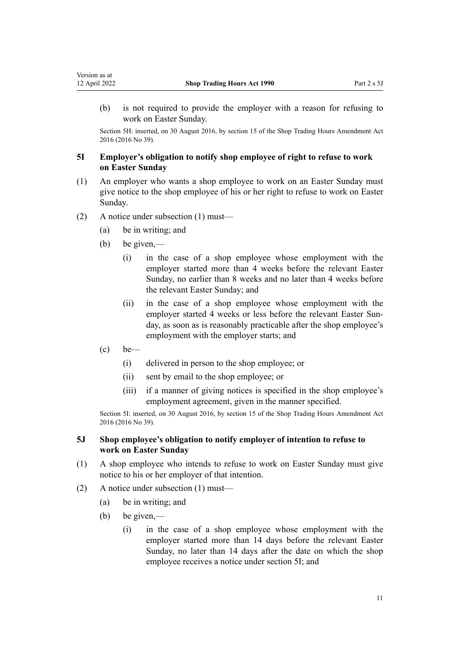(b) is not required to provide the employer with a reason for refusing to work on Easter Sunday.

Section 5H: inserted, on 30 August 2016, by [section 15](http://legislation.govt.nz/pdflink.aspx?id=DLM6632743) of the Shop Trading Hours Amendment Act 2016 (2016 No 39).

#### **5I Employer's obligation to notify shop employee of right to refuse to work on Easter Sunday**

- (1) An employer who wants a shop employee to work on an Easter Sunday must give notice to the shop employee of his or her right to refuse to work on Easter Sunday.
- (2) A notice under subsection (1) must—
	- (a) be in writing; and
	- (b) be given,—

<span id="page-10-0"></span>Version as at<br>12 April 2022

- (i) in the case of a shop employee whose employment with the employer started more than 4 weeks before the relevant Easter Sunday, no earlier than 8 weeks and no later than 4 weeks before the relevant Easter Sunday; and
- (ii) in the case of a shop employee whose employment with the employer started 4 weeks or less before the relevant Easter Sunday, as soon as is reasonably practicable after the shop employee's employment with the employer starts; and
- $\left( c \right)$  be—
	- (i) delivered in person to the shop employee; or
	- (ii) sent by email to the shop employee; or
	- (iii) if a manner of giving notices is specified in the shop employee's employment agreement, given in the manner specified.

Section 5I: inserted, on 30 August 2016, by [section 15](http://legislation.govt.nz/pdflink.aspx?id=DLM6632743) of the Shop Trading Hours Amendment Act 2016 (2016 No 39).

#### **5J Shop employee's obligation to notify employer of intention to refuse to work on Easter Sunday**

- (1) A shop employee who intends to refuse to work on Easter Sunday must give notice to his or her employer of that intention.
- (2) A notice under subsection (1) must—
	- (a) be in writing; and
	- (b) be given,—
		- (i) in the case of a shop employee whose employment with the employer started more than 14 days before the relevant Easter Sunday, no later than 14 days after the date on which the shop employee receives a notice under section 5I; and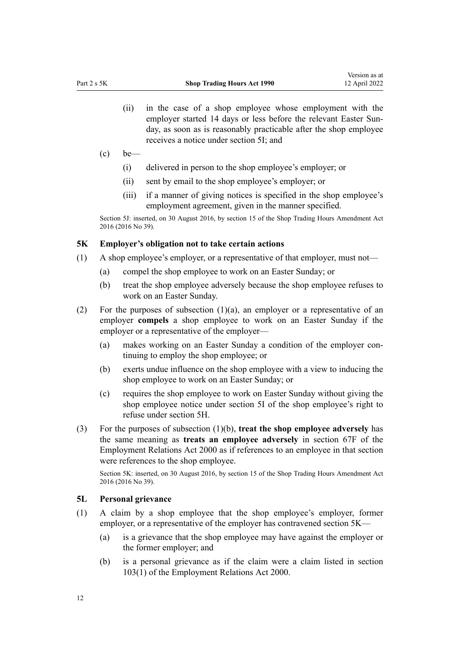- <span id="page-11-0"></span>(ii) in the case of a shop employee whose employment with the employer started 14 days or less before the relevant Easter Sunday, as soon as is reasonably practicable after the shop employee receives a notice under [section 5I;](#page-10-0) and
- $\left( c \right)$  be—
	- (i) delivered in person to the shop employee's employer; or
	- (ii) sent by email to the shop employee's employer; or
	- (iii) if a manner of giving notices is specified in the shop employee's employment agreement, given in the manner specified.

Section 5J: inserted, on 30 August 2016, by [section 15](http://legislation.govt.nz/pdflink.aspx?id=DLM6632743) of the Shop Trading Hours Amendment Act 2016 (2016 No 39).

#### **5K Employer's obligation not to take certain actions**

- (1) A shop employee's employer, or a representative of that employer, must not—
	- (a) compel the shop employee to work on an Easter Sunday; or
	- (b) treat the shop employee adversely because the shop employee refuses to work on an Easter Sunday.
- (2) For the purposes of subsection (1)(a), an employer or a representative of an employer **compels** a shop employee to work on an Easter Sunday if the employer or a representative of the employer—
	- (a) makes working on an Easter Sunday a condition of the employer continuing to employ the shop employee; or
	- (b) exerts undue influence on the shop employee with a view to inducing the shop employee to work on an Easter Sunday; or
	- (c) requires the shop employee to work on Easter Sunday without giving the shop employee notice under [section 5I](#page-10-0) of the shop employee's right to refuse under [section 5H.](#page-9-0)
- (3) For the purposes of subsection (1)(b), **treat the shop employee adversely** has the same meaning as **treats an employee adversely** in [section 67F](http://legislation.govt.nz/pdflink.aspx?id=DLM6803005) of the Employment Relations Act 2000 as if references to an employee in that section were references to the shop employee.

Section 5K: inserted, on 30 August 2016, by [section 15](http://legislation.govt.nz/pdflink.aspx?id=DLM6632743) of the Shop Trading Hours Amendment Act 2016 (2016 No 39).

#### **5L Personal grievance**

- (1) A claim by a shop employee that the shop employee's employer, former employer, or a representative of the employer has contravened section 5K—
	- (a) is a grievance that the shop employee may have against the employer or the former employer; and
	- (b) is a personal grievance as if the claim were a claim listed in [section](http://legislation.govt.nz/pdflink.aspx?id=DLM60322) [103\(1\)](http://legislation.govt.nz/pdflink.aspx?id=DLM60322) of the Employment Relations Act 2000.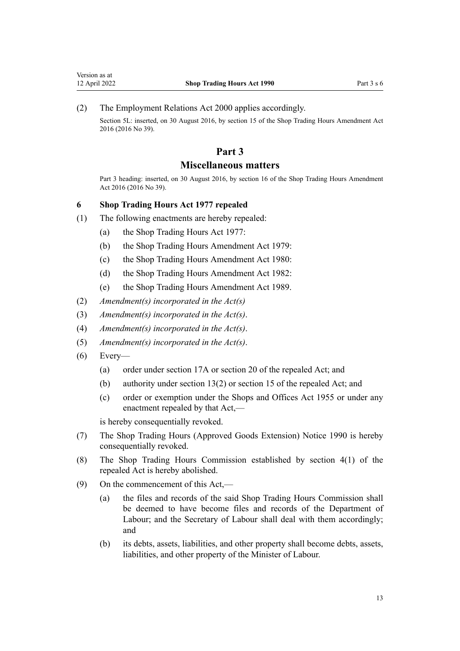<span id="page-12-0"></span>(2) The [Employment Relations Act 2000](http://legislation.govt.nz/pdflink.aspx?id=DLM58316) applies accordingly.

Section 5L: inserted, on 30 August 2016, by [section 15](http://legislation.govt.nz/pdflink.aspx?id=DLM6632743) of the Shop Trading Hours Amendment Act 2016 (2016 No 39).

## **Part 3**

## **Miscellaneous matters**

Part 3 heading: inserted, on 30 August 2016, by [section 16](http://legislation.govt.nz/pdflink.aspx?id=DLM6632765) of the Shop Trading Hours Amendment Act 2016 (2016 No 39).

#### **6 Shop Trading Hours Act 1977 repealed**

- (1) The following enactments are hereby repealed:
	- (a) the Shop Trading Hours Act 1977:
	- (b) the Shop Trading Hours Amendment Act 1979:
	- (c) the Shop Trading Hours Amendment Act 1980:
	- (d) the Shop Trading Hours Amendment Act 1982:
	- (e) the Shop Trading Hours Amendment Act 1989.
- (2) *Amendment(s) incorporated in the [Act\(s\)](http://legislation.govt.nz/pdflink.aspx?id=DLM379813)*
- (3) *Amendment(s) incorporated in the [Act\(s\)](http://legislation.govt.nz/pdflink.aspx?id=DLM439056)*.
- (4) *Amendment(s) incorporated in the Act(s)*.
- (5) *Amendment(s) incorporated in the Act(s)*.
- $(6)$  Every-
	- (a) order under section 17A or section 20 of the repealed Act; and
	- (b) authority under section 13(2) or section 15 of the repealed Act; and
	- (c) order or exemption under the Shops and Offices Act 1955 or under any enactment repealed by that Act,—

is hereby consequentially revoked.

- (7) The Shop Trading Hours (Approved Goods Extension) Notice 1990 is hereby consequentially revoked.
- (8) The Shop Trading Hours Commission established by section 4(1) of the repealed Act is hereby abolished.
- (9) On the commencement of this Act,—
	- (a) the files and records of the said Shop Trading Hours Commission shall be deemed to have become files and records of the Department of Labour; and the Secretary of Labour shall deal with them accordingly; and
	- (b) its debts, assets, liabilities, and other property shall become debts, assets, liabilities, and other property of the Minister of Labour.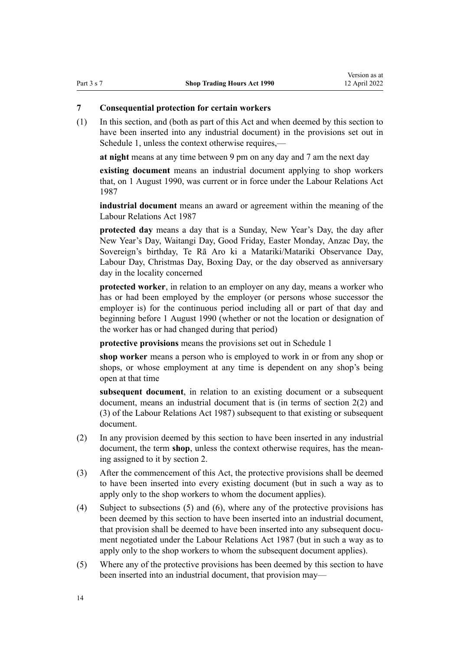## <span id="page-13-0"></span>**7 Consequential protection for certain workers**

(1) In this section, and (both as part of this Act and when deemed by this section to have been inserted into any industrial document) in the provisions set out in [Schedule 1,](#page-19-0) unless the context otherwise requires,—

**at night** means at any time between 9 pm on any day and 7 am the next day

**existing document** means an industrial document applying to shop workers that, on 1 August 1990, was current or in force under the Labour Relations Act 1987

**industrial document** means an award or agreement within the meaning of the Labour Relations Act 1987

**protected day** means a day that is a Sunday, New Year's Day, the day after New Year's Day, Waitangi Day, Good Friday, Easter Monday, Anzac Day, the Sovereign's birthday, Te Rā Aro ki a Matariki/Matariki Observance Day, Labour Day, Christmas Day, Boxing Day, or the day observed as anniversary day in the locality concerned

**protected worker**, in relation to an employer on any day, means a worker who has or had been employed by the employer (or persons whose successor the employer is) for the continuous period including all or part of that day and beginning before 1 August 1990 (whether or not the location or designation of the worker has or had changed during that period)

**protective provisions** means the provisions set out in [Schedule 1](#page-19-0)

**shop worker** means a person who is employed to work in or from any shop or shops, or whose employment at any time is dependent on any shop's being open at that time

**subsequent document**, in relation to an existing document or a subsequent document, means an industrial document that is (in terms of section 2(2) and (3) of the Labour Relations Act 1987) subsequent to that existing or subsequent document.

- (2) In any provision deemed by this section to have been inserted in any industrial document, the term **shop**, unless the context otherwise requires, has the meaning assigned to it by [section 2.](#page-2-0)
- (3) After the commencement of this Act, the protective provisions shall be deemed to have been inserted into every existing document (but in such a way as to apply only to the shop workers to whom the document applies).
- (4) Subject to subsections (5) and (6), where any of the protective provisions has been deemed by this section to have been inserted into an industrial document, that provision shall be deemed to have been inserted into any subsequent document negotiated under the Labour Relations Act 1987 (but in such a way as to apply only to the shop workers to whom the subsequent document applies).
- (5) Where any of the protective provisions has been deemed by this section to have been inserted into an industrial document, that provision may—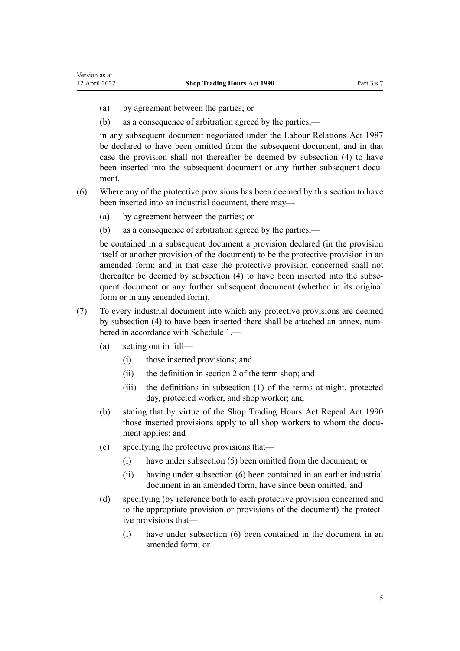- (a) by agreement between the parties; or
- (b) as a consequence of arbitration agreed by the parties,—

in any subsequent document negotiated under the Labour Relations Act 1987 be declared to have been omitted from the subsequent document; and in that case the provision shall not thereafter be deemed by subsection (4) to have been inserted into the subsequent document or any further subsequent document.

- (6) Where any of the protective provisions has been deemed by this section to have been inserted into an industrial document, there may—
	- (a) by agreement between the parties; or
	- (b) as a consequence of arbitration agreed by the parties,—

be contained in a subsequent document a provision declared (in the provision itself or another provision of the document) to be the protective provision in an amended form; and in that case the protective provision concerned shall not thereafter be deemed by subsection (4) to have been inserted into the subsequent document or any further subsequent document (whether in its original form or in any amended form).

- (7) To every industrial document into which any protective provisions are deemed by subsection (4) to have been inserted there shall be attached an annex, numbered in accordance with [Schedule 1](#page-19-0),—
	- (a) setting out in full—
		- (i) those inserted provisions; and
		- (ii) the definition in [section 2](#page-2-0) of the term shop; and
		- (iii) the definitions in subsection (1) of the terms at night, protected day, protected worker, and shop worker; and
	- (b) stating that by virtue of the Shop Trading Hours Act Repeal Act 1990 those inserted provisions apply to all shop workers to whom the document applies; and
	- (c) specifying the protective provisions that—
		- (i) have under subsection (5) been omitted from the document; or
		- (ii) having under subsection (6) been contained in an earlier industrial document in an amended form, have since been omitted; and
	- (d) specifying (by reference both to each protective provision concerned and to the appropriate provision or provisions of the document) the protect‐ ive provisions that—
		- (i) have under subsection (6) been contained in the document in an amended form; or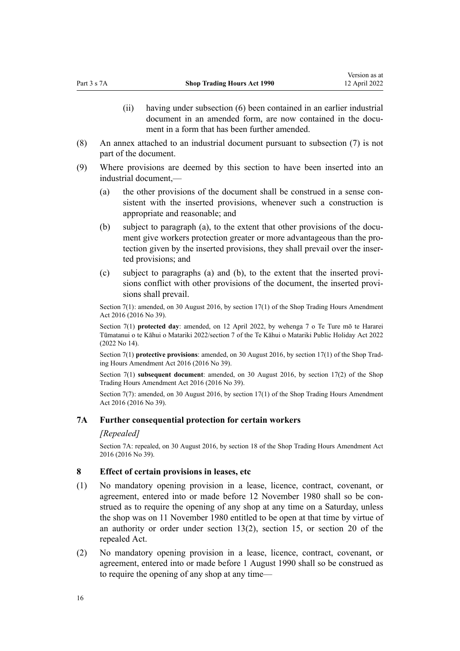- (ii) having under subsection (6) been contained in an earlier industrial document in an amended form, are now contained in the document in a form that has been further amended.
- <span id="page-15-0"></span>(8) An annex attached to an industrial document pursuant to subsection (7) is not part of the document.
- (9) Where provisions are deemed by this section to have been inserted into an industrial document,—
	- (a) the other provisions of the document shall be construed in a sense consistent with the inserted provisions, whenever such a construction is appropriate and reasonable; and
	- (b) subject to paragraph (a), to the extent that other provisions of the document give workers protection greater or more advantageous than the protection given by the inserted provisions, they shall prevail over the inserted provisions; and
	- (c) subject to paragraphs (a) and (b), to the extent that the inserted provi‐ sions conflict with other provisions of the document, the inserted provisions shall prevail.

Section 7(1): amended, on 30 August 2016, by [section 17\(1\)](http://legislation.govt.nz/pdflink.aspx?id=DLM6632767) of the Shop Trading Hours Amendment Act 2016 (2016 No 39).

Section 7(1) **protected day**: amended, on 12 April 2022, by [wehenga 7](http://legislation.govt.nz/pdflink.aspx?id=LMS557838) o Te Ture mō te Hararei Tūmatanui o te Kāhui o Matariki 2022/[section 7](http://legislation.govt.nz/pdflink.aspx?id=LMS557848) of the Te Kāhui o Matariki Public Holiday Act 2022 (2022 No 14).

Section 7(1) **protective provisions**: amended, on 30 August 2016, by [section 17\(1\)](http://legislation.govt.nz/pdflink.aspx?id=DLM6632767) of the Shop Trad‐ ing Hours Amendment Act 2016 (2016 No 39).

Section 7(1) **subsequent document**: amended, on 30 August 2016, by [section 17\(2\)](http://legislation.govt.nz/pdflink.aspx?id=DLM6632767) of the Shop Trading Hours Amendment Act 2016 (2016 No 39).

Section 7(7): amended, on 30 August 2016, by [section 17\(1\)](http://legislation.govt.nz/pdflink.aspx?id=DLM6632767) of the Shop Trading Hours Amendment Act 2016 (2016 No 39).

#### **7A Further consequential protection for certain workers**

#### *[Repealed]*

Section 7A: repealed, on 30 August 2016, by [section 18](http://legislation.govt.nz/pdflink.aspx?id=DLM6632769) of the Shop Trading Hours Amendment Act 2016 (2016 No 39).

#### **8 Effect of certain provisions in leases, etc**

- (1) No mandatory opening provision in a lease, licence, contract, covenant, or agreement, entered into or made before 12 November 1980 shall so be construed as to require the opening of any shop at any time on a Saturday, unless the shop was on 11 November 1980 entitled to be open at that time by virtue of an authority or order under section 13(2), section 15, or section 20 of the repealed Act.
- (2) No mandatory opening provision in a lease, licence, contract, covenant, or agreement, entered into or made before 1 August 1990 shall so be construed as to require the opening of any shop at any time—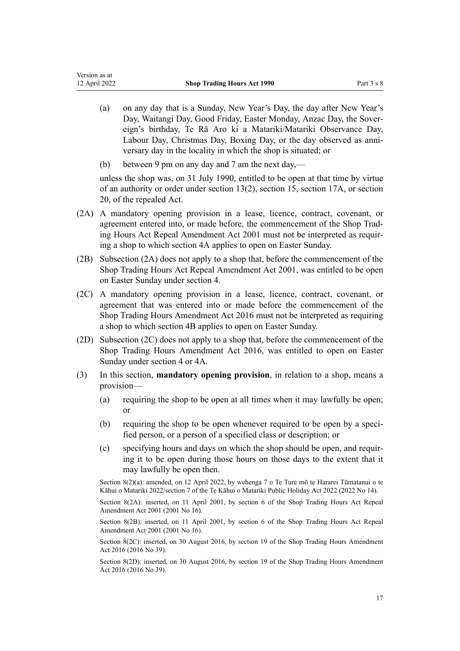- (a) on any day that is a Sunday, New Year's Day, the day after New Year's Day, Waitangi Day, Good Friday, Easter Monday, Anzac Day, the Sover‐ eign's birthday, Te Rā Aro ki a Matariki/Matariki Observance Day, Labour Day, Christmas Day, Boxing Day, or the day observed as anni‐ versary day in the locality in which the shop is situated; or
- (b) between 9 pm on any day and 7 am the next day,—

Version as at

unless the shop was, on 31 July 1990, entitled to be open at that time by virtue of an authority or order under section 13(2), section 15, section 17A, or section 20, of the repealed Act.

- (2A) A mandatory opening provision in a lease, licence, contract, covenant, or agreement entered into, or made before, the commencement of the Shop Trad[ing Hours Act Repeal Amendment Act 2001](http://legislation.govt.nz/pdflink.aspx?id=DLM90152) must not be interpreted as requir‐ ing a shop to which [section 4A](#page-5-0) applies to open on Easter Sunday.
- (2B) Subsection (2A) does not apply to a shop that, before the commencement of the [Shop Trading Hours Act Repeal Amendment Act 2001](http://legislation.govt.nz/pdflink.aspx?id=DLM90152), was entitled to be open on Easter Sunday under [section 4.](#page-4-0)
- (2C) A mandatory opening provision in a lease, licence, contract, covenant, or agreement that was entered into or made before the commencement of the [Shop Trading Hours Amendment Act 2016](http://legislation.govt.nz/pdflink.aspx?id=DLM6632700) must not be interpreted as requiring a shop to which [section 4B](#page-5-0) applies to open on Easter Sunday.
- (2D) Subsection (2C) does not apply to a shop that, before the commencement of the [Shop Trading Hours Amendment Act 2016,](http://legislation.govt.nz/pdflink.aspx?id=DLM6632700) was entitled to open on Easter Sunday under [section 4](#page-4-0) or [4A](#page-5-0).
- (3) In this section, **mandatory opening provision**, in relation to a shop, means a provision—
	- (a) requiring the shop to be open at all times when it may lawfully be open; or
	- (b) requiring the shop to be open whenever required to be open by a specified person, or a person of a specified class or description; or
	- (c) specifying hours and days on which the shop should be open, and requir‐ ing it to be open during those hours on those days to the extent that it may lawfully be open then.

Section 8(2)(a): amended, on 12 April 2022, by [wehenga 7](http://legislation.govt.nz/pdflink.aspx?id=LMS557838) o Te Ture mō te Hararei Tūmatanui o te Kāhui o Matariki 2022/[section 7](http://legislation.govt.nz/pdflink.aspx?id=LMS557848) of the Te Kāhui o Matariki Public Holiday Act 2022 (2022 No 14).

Section 8(2A): inserted, on 11 April 2001, by [section 6](http://legislation.govt.nz/pdflink.aspx?id=DLM90167) of the Shop Trading Hours Act Repeal Amendment Act 2001 (2001 No 16).

Section 8(2B): inserted, on 11 April 2001, by [section 6](http://legislation.govt.nz/pdflink.aspx?id=DLM90167) of the Shop Trading Hours Act Repeal Amendment Act 2001 (2001 No 16).

Section 8(2C): inserted, on 30 August 2016, by [section 19](http://legislation.govt.nz/pdflink.aspx?id=DLM6632770) of the Shop Trading Hours Amendment Act 2016 (2016 No 39).

Section 8(2D): inserted, on 30 August 2016, by [section 19](http://legislation.govt.nz/pdflink.aspx?id=DLM6632770) of the Shop Trading Hours Amendment Act 2016 (2016 No 39).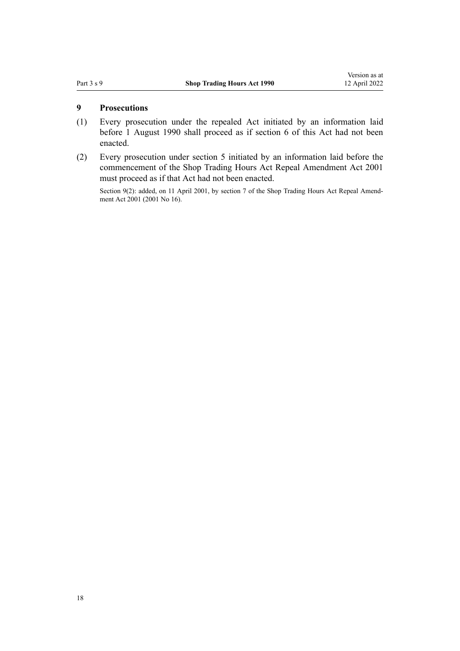#### <span id="page-17-0"></span>**9 Prosecutions**

- (1) Every prosecution under the repealed Act initiated by an information laid before 1 August 1990 shall proceed as if [section 6](#page-12-0) of this Act had not been enacted.
- (2) Every prosecution under [section 5](#page-5-0) initiated by an information laid before the commencement of the [Shop Trading Hours Act Repeal Amendment Act 2001](http://legislation.govt.nz/pdflink.aspx?id=DLM90152) must proceed as if that Act had not been enacted.

Section 9(2): added, on 11 April 2001, by [section 7](http://legislation.govt.nz/pdflink.aspx?id=DLM90168) of the Shop Trading Hours Act Repeal Amendment Act 2001 (2001 No 16).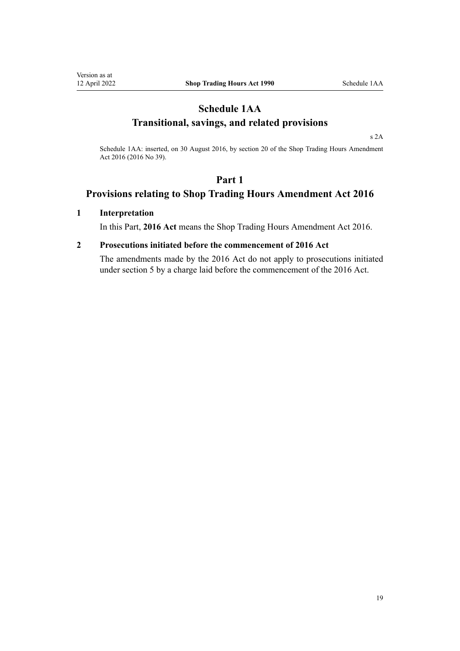## <span id="page-18-0"></span>**Schedule 1AA Transitional, savings, and related provisions**

[s 2A](#page-3-0)

Schedule 1AA: inserted, on 30 August 2016, by [section 20](http://legislation.govt.nz/pdflink.aspx?id=DLM6632772) of the Shop Trading Hours Amendment Act 2016 (2016 No 39).

## **Part 1**

## **Provisions relating to Shop Trading Hours Amendment Act 2016**

#### **1 Interpretation**

In this Part, **2016 Act** means the [Shop Trading Hours Amendment Act 2016](http://legislation.govt.nz/pdflink.aspx?id=DLM6632700).

## **2 Prosecutions initiated before the commencement of 2016 Act**

The amendments made by the 2016 Act do not apply to prosecutions initiated under [section 5](#page-5-0) by a charge laid before the commencement of the 2016 Act.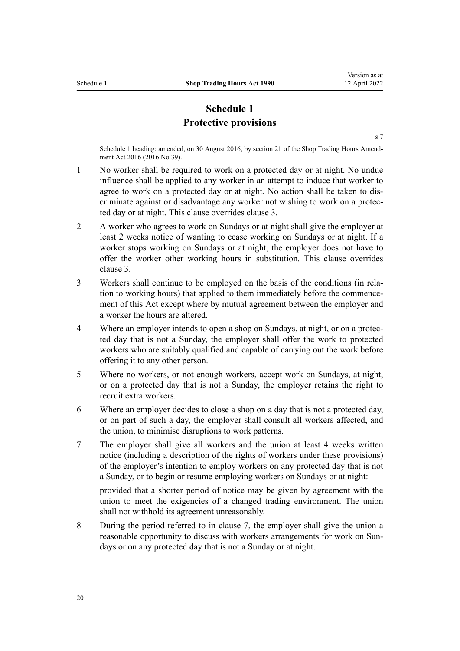## **Schedule 1 Protective provisions**

[s 7](#page-13-0)

<span id="page-19-0"></span>Schedule 1 heading: amended, on 30 August 2016, by [section 21](http://legislation.govt.nz/pdflink.aspx?id=DLM6632773) of the Shop Trading Hours Amendment Act 2016 (2016 No 39).

- 1 No worker shall be required to work on a protected day or at night. No undue influence shall be applied to any worker in an attempt to induce that worker to agree to work on a protected day or at night. No action shall be taken to dis‐ criminate against or disadvantage any worker not wishing to work on a protec‐ ted day or at night. This clause overrides clause 3.
- 2 A worker who agrees to work on Sundays or at night shall give the employer at least 2 weeks notice of wanting to cease working on Sundays or at night. If a worker stops working on Sundays or at night, the employer does not have to offer the worker other working hours in substitution. This clause overrides clause 3.
- 3 Workers shall continue to be employed on the basis of the conditions (in rela‐ tion to working hours) that applied to them immediately before the commence‐ ment of this Act except where by mutual agreement between the employer and a worker the hours are altered.
- 4 Where an employer intends to open a shop on Sundays, at night, or on a protec‐ ted day that is not a Sunday, the employer shall offer the work to protected workers who are suitably qualified and capable of carrying out the work before offering it to any other person.
- 5 Where no workers, or not enough workers, accept work on Sundays, at night, or on a protected day that is not a Sunday, the employer retains the right to recruit extra workers.
- 6 Where an employer decides to close a shop on a day that is not a protected day, or on part of such a day, the employer shall consult all workers affected, and the union, to minimise disruptions to work patterns.
- 7 The employer shall give all workers and the union at least 4 weeks written notice (including a description of the rights of workers under these provisions) of the employer's intention to employ workers on any protected day that is not a Sunday, or to begin or resume employing workers on Sundays or at night:

provided that a shorter period of notice may be given by agreement with the union to meet the exigencies of a changed trading environment. The union shall not withhold its agreement unreasonably.

8 During the period referred to in clause 7, the employer shall give the union a reasonable opportunity to discuss with workers arrangements for work on Sundays or on any protected day that is not a Sunday or at night.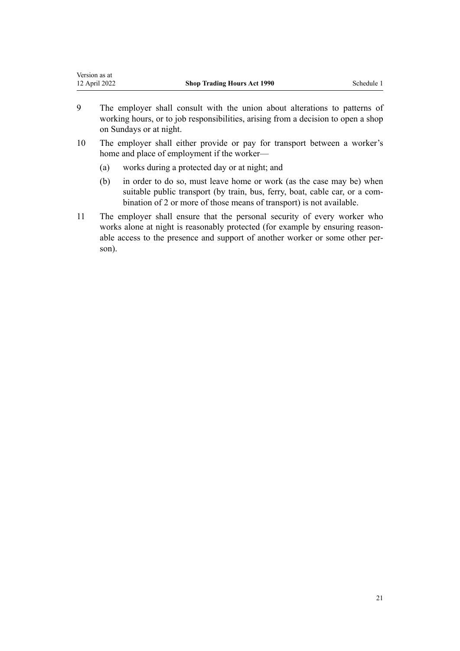| Version as at |                                    |            |
|---------------|------------------------------------|------------|
| 12 April 2022 | <b>Shop Trading Hours Act 1990</b> | Schedule 1 |
|               |                                    |            |

- 9 The employer shall consult with the union about alterations to patterns of working hours, or to job responsibilities, arising from a decision to open a shop on Sundays or at night.
- 10 The employer shall either provide or pay for transport between a worker's home and place of employment if the worker—
	- (a) works during a protected day or at night; and
	- (b) in order to do so, must leave home or work (as the case may be) when suitable public transport (by train, bus, ferry, boat, cable car, or a combination of 2 or more of those means of transport) is not available.
- 11 The employer shall ensure that the personal security of every worker who works alone at night is reasonably protected (for example by ensuring reasonable access to the presence and support of another worker or some other person).